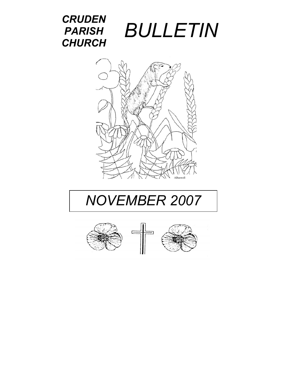



# *NOVEMBER 2007*

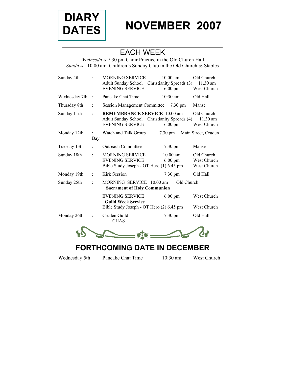

# DIARY<br>DATES NOVEMBER 2007

#### EACH WEEK

*Wednesdays* 7.30 pm Choir Practice in the Old Church Hall *Sundays* 10.00 am Children's Sunday Club in the Old Church & Stables

| Sunday 4th    |                      | <b>MORNING SERVICE</b><br><b>Adult Sunday School</b><br><b>EVENING SERVICE</b>               | $10.00$ am<br>Christianity Spreads (3)<br>$6.00 \text{ pm}$       | Old Church<br>11.30 am<br>West Church    |
|---------------|----------------------|----------------------------------------------------------------------------------------------|-------------------------------------------------------------------|------------------------------------------|
| Wednesday 7th | $\ddot{\phantom{1}}$ | Pancake Chat Time                                                                            | $10:30$ am                                                        | Old Hall                                 |
| Thursday 8th  | $\ddot{\cdot}$       | <b>Session Management Committee</b>                                                          | $7.30 \text{ pm}$                                                 | Manse                                    |
| Sunday 11th   | $\ddot{\phantom{0}}$ | <b>REMEMBRANCE SERVICE 10.00 am</b><br><b>EVENING SERVICE</b>                                | Adult Sunday School Christianity Spreads (4)<br>$6.00 \text{ pm}$ | Old Church<br>$11.30$ am<br>West Church  |
| Monday 12th   | Bay                  | Watch and Talk Group                                                                         | $7.30 \text{ pm}$                                                 | Main Street, Cruden                      |
| Tuesday 13th  | ÷                    | <b>Outreach Committee</b>                                                                    | $7.30 \text{ pm}$                                                 | Manse                                    |
| Sunday 18th   |                      | <b>MORNING SERVICE</b><br><b>EVENING SERVICE</b><br>Bible Study Joseph - OT Hero (1) 6.45 pm | $10.00$ am<br>$6.00 \text{ pm}$                                   | Old Church<br>West Church<br>West Church |
| Monday 19th   | $\ddot{\phantom{a}}$ | Kirk Session                                                                                 | 7.30 pm                                                           | Old Hall                                 |
| Sunday 25th   | $\ddot{\phantom{0}}$ | MORNING SERVICE 10.00 am<br><b>Sacrament of Holy Communion</b>                               | Old Church                                                        |                                          |
|               |                      | EVENING SERVICE<br><b>Guild Week Service</b>                                                 | $6.00 \text{ pm}$                                                 | West Church                              |
|               |                      | Bible Study Joseph - OT Hero (2) 6.45 pm                                                     |                                                                   | West Church                              |
| Monday 26th   | $\ddot{\phantom{0}}$ | Cruden Guild<br><b>CHAS</b>                                                                  | 7.30 pm                                                           | Old Hall                                 |
|               |                      |                                                                                              |                                                                   |                                          |



## **FORTHCOMING DATE IN DECEMBER**

Wednesday 5th Pancake Chat Time 10:30 am West Church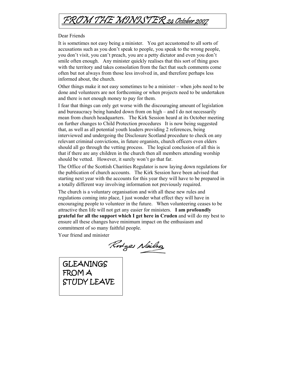

#### Dear Friends

It is sometimes not easy being a minister. You get accustomed to all sorts of accusations such as you don't speak to people, you speak to the wrong people, you don't visit, you can't preach, you are a petty dictator and even you don't smile often enough. Any minister quickly realises that this sort of thing goes with the territory and takes consolation from the fact that such comments come often but not always from those less involved in, and therefore perhaps less informed about, the church.

Other things make it not easy sometimes to be a minister – when jobs need to be done and volunteers are not forthcoming or when projects need to be undertaken and there is not enough money to pay for them.

I fear that things can only get worse with the discouraging amount of legislation and bureaucracy being handed down from on high – and I do not necessarily mean from church headquarters. The Kirk Session heard at its October meeting on further changes to Child Protection procedures It is now being suggested that, as well as all potential youth leaders providing 2 references, being interviewed and undergoing the Disclosure Scotland procedure to check on any relevant criminal convictions, in future organists, church officers even elders should all go through the vetting process. The logical conclusion of all this is that if there are any children in the church then all members attending worship should be vetted. However, it surely won't go that far.

The Office of the Scottish Charities Regulator is now laying down regulations for the publication of church accounts. The Kirk Session have been advised that starting next year with the accounts for this year they will have to be prepared in a totally different way involving information not previously required.

The church is a voluntary organisation and with all these new rules and regulations coming into place, I just wonder what effect they will have in encouraging people to volunteer in the future. When volunteering ceases to be attractive then life will not get any easier for ministers. **I am profoundly grateful for all the support which I get here in Cruden** and will do my best to ensure all these changes have minimum impact on the enthusiasm and commitment of so many faithful people.

Your friend and minister

Rodges Nails

GLEANINGS FROM A STUDY LEAVE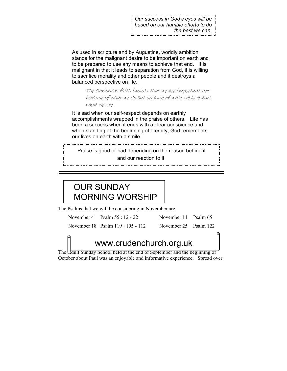*Our success in God's eyes will be based on our humble efforts to do the best we can.* 

As used in scripture and by Augustine, worldly ambition stands for the malignant desire to be important on earth and to be prepared to use any means to achieve that end. It is malignant in that it leads to separation from God, it is willing to sacrifice morality and other people and it destroys a balanced perspective on life.

> The Christian faith insists that we are important not because of what we do but because of what we love and what we are.

It is sad when our self-respect depends on earthly accomplishments wrapped in the praise of others. Life has been a success when it ends with a clear conscience and when standing at the beginning of eternity, God remembers our lives on earth with a smile.

Praise is good or bad depending on the reason behind it and our reaction to it.

## OUR SUNDAY MORNING WORSHIP

The Psalms that we will be considering in November are

November 4 Psalm 55 : 12 - 22 November 11 Psalm 65 November 18 Psalm 119 : 105 - 112 November 25 Psalm 122

### www.crudenchurch.org.uk

The Lault Sunday School held at the end of September and the beginning of October about Paul was an enjoyable and informative experience. Spread over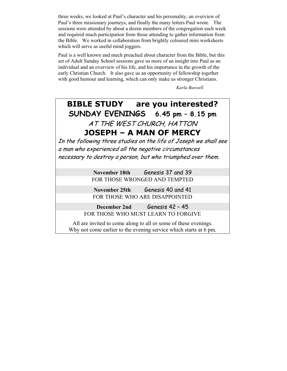three weeks, we looked at Paul's character and his personality, an overview of Paul's three missionary journeys, and finally the many letters Paul wrote. The sessions were attended by about a dozen members of the congregation each week and required much participation from those attending to gather information from the Bible. We worked in collaboration from brightly coloured mini worksheets which will serve as useful mind joggers.

Paul is a well known and much preached about character from the Bible, but this set of Adult Sunday School sessions gave us more of an insight into Paul as an individual and an overview of his life, and his importance in the growth of the early Christian Church. It also gave us an opportunity of fellowship together with good humour and learning, which can only make us stronger Christians.

*Karla Buswell* 

### **BIBLE STUDY are you interested? SUNDAY EVENINGS 6.45 pm – 8.15 pm** AT THE WEST CHURCH, HATTON **JOSEPH – A MAN OF MERCY**  In the following three studies on the life of Joseph we shall see

a man who experienced all the negative circumstances necessary to destroy a person, but who triumphed over them.

> November 18th Genesis 37 and 39 FOR THOSE WRONGED AND TEMPTED

**November 25th** Genesis 40 and 41 FOR THOSE WHO ARE DISAPPOINTED

**December 2nd** Genesis 42 – 45 FOR THOSE WHO MUST LEARN TO FORGIVE

All are invited to come along to all or some of these evenings. Why not come earlier to the evening service which starts at 6 pm.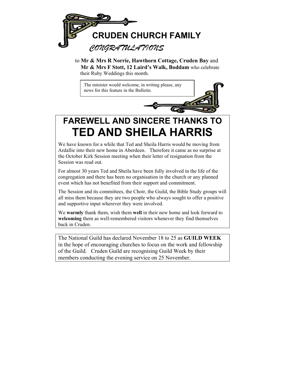

to **Mr & Mrs R Norrie, Hawthorn Cottage, Cruden Bay** and **Mr & Mrs F Stott, 12 Laird's Walk, Boddam** who celebrate their Ruby Weddings this month.

The minister would welcome, in writing please, any news for this feature in the Bulletin.



## **FAREWELL AND SINCERE THANKS TO TED AND SHEILA HARRIS**

We have known for a while that Ted and Sheila Harris would be moving from Ardallie into their new home in Aberdeen. Therefore it came as no surprise at the October Kirk Session meeting when their letter of resignation from the Session was read out.

For almost 30 years Ted and Sheila have been fully involved in the life of the congregation and there has been no organisation in the church or any planned event which has not benefited from their support and commitment.

The Session and its committees, the Choir, the Guild, the Bible Study groups will all miss them because they are two people who always sought to offer a positive and supportive input wherever they were involved.

We **warmly** thank them, wish them **well** in their new home and look forward to **welcoming** them as well-remembered visitors whenever they find themselves back in Cruden.

The National Guild has declared November 18 to 25 as **GUILD WEEK** in the hope of encouraging churches to focus on the work and fellowship of the Guild. Cruden Guild are recognising Guild Week by their members conducting the evening service on 25 November.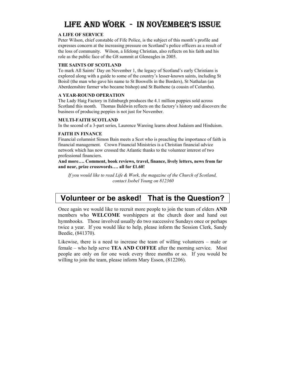## LIFE AND WORK - IN NOVEMBER'S ISSUE

#### **A LIFE OF SERVICE**

Peter Wilson, chief constable of Fife Police, is the subject of this month's profile and expresses concern at the increasing pressure on Scotland's police officers as a result of the loss of community. Wilson, a lifelong Christian, also reflects on his faith and his role as the public face of the G8 summit at Gleneagles in 2005.

#### **THE SAINTS OF SCOTLAND**

To mark All Saints' Day on November 1, the legacy of Scotland's early Christians is explored along with a guide to some of the country's lesser-known saints, including St Boisil (the man who gave his name to St Boswells in the Borders), St Nathalan (an Aberdeenshire farmer who became bishop) and St Baithene (a cousin of Columba).

#### **A YEAR-ROUND OPERATION**

The Lady Haig Factory in Edinburgh produces the 4.1 million poppies sold across Scotland this month. Thomas Baldwin reflects on the factory's history and discovers the business of producing poppies is not just for November.

#### **MULTI-FAITH SCOTLAND**

In the second of a 3-part series, Laurence Wareing learns about Judaism and Hinduism.

#### **FAITH IN FINANCE**

Financial columnist Simon Bain meets a Scot who is preaching the importance of faith in financial management. Crown Financial Ministries is a Christian financial advice network which has now crossed the Atlantic thanks to the volunteer interest of two professional financiers.

**And more…. Comment, book reviews, travel, finance, lively letters, news from far and near, prize crosswords…. all for £1.60!**

*If you would like to read Life & Work, the magazine of the Church of Scotland, contact Isobel Young on 812360* 

#### **Volunteer or be asked! That is the Question?**

Once again we would like to recruit more people to join the team of elders **AND**  members who **WELCOME** worshippers at the church door and hand out hymnbooks. Those involved usually do two successive Sundays once or perhaps twice a year. If you would like to help, please inform the Session Clerk, Sandy Beedie, (841370).

Likewise, there is a need to increase the team of willing volunteers – male or female – who help serve **TEA AND COFFEE** after the morning service. Most people are only on for one week every three months or so. If you would be willing to join the team, please inform Mary Esson,  $(812206)$ .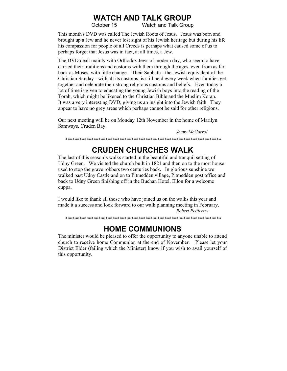#### **WATCH AND TALK GROUP**

October 15 Watch and Talk Group

This month's DVD was called The Jewish Roots of Jesus. Jesus was born and brought up a Jew and he never lost sight of his Jewish heritage but during his life his compassion for people of all Creeds is perhaps what caused some of us to perhaps forget that Jesus was in fact, at all times, a Jew.

The DVD dealt mainly with Orthodox Jews of modern day, who seem to have carried their traditions and customs with them through the ages, even from as far back as Moses, with little change. Their Sabbath - the Jewish equivalent of the Christian Sunday - with all its customs, is still held every week when families get together and celebrate their strong religious customs and beliefs. Even today a lot of time is given to educating the young Jewish boys into the reading of the Torah, which might be likened to the Christian Bible and the Muslim Koran. It was a very interesting DVD, giving us an insight into the Jewish faith They appear to have no grey areas which perhaps cannot be said for other religions.

Our next meeting will be on Monday 12th November in the home of Marilyn Samways, Cruden Bay.

*Jenny McGarrol* 

## \*\*\*\*\*\*\*\*\*\*\*\*\*\*\*\*\*\*\*\*\*\*\*\*\*\*\*\*\*\*\*\*\*\*\*\*\*\*\*\*\*\*\*\*\*\*\*\*\*\*\*\*\*\*\*\*\*\*\*\*\*\*\*\*\*\*

#### **CRUDEN CHURCHES WALK**

The last of this season's walks started in the beautiful and tranquil setting of Udny Green. We visited the church built in 1821 and then on to the mort house used to stop the grave robbers two centuries back. In glorious sunshine we walked past Udny Castle and on to Pitmedden village, Pitmedden post office and back to Udny Green finishing off in the Buchan Hotel, Ellon for a welcome cuppa.

I would like to thank all those who have joined us on the walks this year and made it a success and look forward to our walk planning meeting in February. *Robert Petticrew* 

\*\*\*\*\*\*\*\*\*\*\*\*\*\*\*\*\*\*\*\*\*\*\*\*\*\*\*\*\*\*\*\*\*\*\*\*\*\*\*\*\*\*\*\*\*\*\*\*\*\*\*\*\*\*\*\*\*\*\*\*\*\*\*\*\*\*

#### **HOME COMMUNIONS**

The minister would be pleased to offer the opportunity to anyone unable to attend church to receive home Communion at the end of November. Please let your District Elder (failing which the Minister) know if you wish to avail yourself of this opportunity.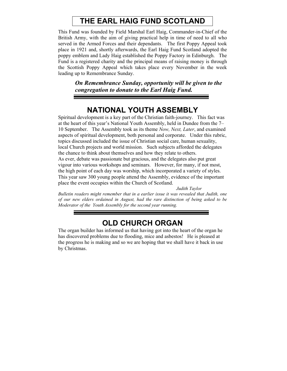### **THE EARL HAIG FUND SCOTLAND**

This Fund was founded by Field Marshal Earl Haig, Commander-in-Chief of the British Army, with the aim of giving practical help in time of need to all who served in the Armed Forces and their dependants. The first Poppy Appeal took place in 1921 and, shortly afterwards, the Earl Haig Fund Scotland adopted the poppy emblem and Lady Haig established the Poppy Factory in Edinburgh. The Fund is a registered charity and the principal means of raising money is through the Scottish Poppy Appeal which takes place every November in the week leading up to Remembrance Sunday.

*On Remembrance Sunday, opportunity will be given to the congregation to donate to the Earl Haig Fund.*

#### **NATIONAL YOUTH ASSEMBLY**

Spiritual development is a key part of the Christian faith-journey. This fact was at the heart of this year's National Youth Assembly, held in Dundee from the 7– 10 September. The Assembly took as its theme *Now, Next, Later*, and examined aspects of spiritual development, both personal and corporate. Under this rubric, topics discussed included the issue of Christian social care, human sexuality, local Church projects and world mission. Such subjects afforded the delegates the chance to think about themselves and how they relate to others. As ever, debate was passionate but gracious, and the delegates also put great vigour into various workshops and seminars. However, for many, if not most, the high point of each day was worship, which incorporated a variety of styles. This year saw 300 young people attend the Assembly, evidence of the important place the event occupies within the Church of Scotland.

*Judith Taylor* 

*Bulletin readers might remember that in a earlier issue it was revealed that Judith, one of our new elders ordained in August, had the rare distinction of being asked to be Moderator of the Youth Assembly for the second year running.* 

#### **OLD CHURCH ORGAN**

The organ builder has informed us that having got into the heart of the organ he has discovered problems due to flooding, mice and asbestos! He is pleased at the progress he is making and so we are hoping that we shall have it back in use by Christmas.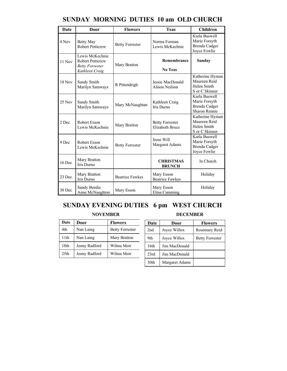| <b>Date</b>   | Door                                                                                   | <b>Flowers</b>         | <b>Teas</b>                                      | <b>Children</b>                                                                |
|---------------|----------------------------------------------------------------------------------------|------------------------|--------------------------------------------------|--------------------------------------------------------------------------------|
| 4 Nov         | <b>Betty May</b><br><b>Robert Petticrew</b>                                            | <b>Betty Forrester</b> | Norma Forman<br>Lewis McKechnie                  | Karla Buswell<br>Marie Forsyth<br>Brenda Cadger<br>Joyce Fowlie                |
| 11 Nov        | Lewis McKechnie<br><b>Robert Petticrew</b><br><b>Betty Forrester</b><br>Kathleen Craig | Mary Bratton           | Remembrance<br><b>No Teas</b>                    | Sunday                                                                         |
| <b>18 Nov</b> | Sandy Smith<br>Marilyn Samways                                                         | R Pittendrigh          | Jessie MacDonald<br>Alison Neilson               | Katherine Hyman<br>Maureen Reid<br>Helen Smith<br>S or C Skinner               |
| $25$ Nov      | Sandy Smith<br>Marilyn Samways                                                         | Mary McNaughtan        | Kathleen Craig<br><b>Iris Durno</b>              | Karla Buswell<br>Marie Forsyth<br><b>Brenda Cadger</b><br><b>Sharon Rennie</b> |
| 2 Dec         | Robert Esson<br>Lewis McKechnie                                                        | Mary Bratton           | <b>Betty Forrester</b><br><b>Elizabeth Bruce</b> | Katherine Hyman<br>Maureen Reid<br>Helen Smith<br>S or C Skinner               |
| 9 Dec         | Robert Esson<br>Lewis McKechnie                                                        | <b>Betty Forrester</b> | Irene Will<br>Margaret Adams                     | Karla Buswell<br>Marie Forsyth<br><b>Brenda Cadger</b><br>Joyce Fowlie         |
| 16 Dec        | Mary Bratton<br>Iris Durno                                                             |                        | <b>CHRISTMAS</b><br><b>BRUNCH</b>                | In Church                                                                      |
| 23 Dec        | Mary Bratton<br>Iris Durno                                                             | <b>Beatrice Fawkes</b> | Mary Esson<br><b>Beatrice Fawkes</b>             | Holiday                                                                        |
| 30 Dec        | Sandy Beedie<br>Anne McNaughton                                                        | Mary Esson             | Mary Esson<br>Elma Cumming                       | Holiday                                                                        |

#### **SUNDAY MORNING DUTIES 10 am OLD CHURCH**

#### **SUNDAY EVENING DUTIES 6 pm WEST CHURCH**

#### **NOVEMBER DECEMBER**

| Date             | Door          | <b>Flowers</b>         |
|------------------|---------------|------------------------|
| 4th              | Nan Laing     | <b>Betty Forrester</b> |
| 11th             | Nan Laing     | Mary Bratton           |
| 18th             | Jenny Radford | Wilma Moir             |
| 25 <sub>th</sub> | Jenny Radford | Wilma Moir             |

| Date | Door           | <b>Flowers</b>         |
|------|----------------|------------------------|
| 2nd  | Joyce Willox   | Rosemary Reid          |
| 9th  | Joyce Willox   | <b>Betty Forrester</b> |
| 16th | Jim MacDonald  |                        |
| 23rd | Jim MacDonald  |                        |
| 30th | Margaret Adams |                        |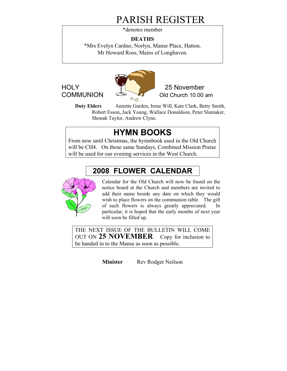## PARISH REGISTER

\*denotes member

#### **DEATHS**

\*Mrs Evelyn Cardno, Norlyn, Manse Place, Hatton. Mr Howard Ross, Mains of Longhaven.



**Duty Elders** Annette Garden, Irene Will, Kate Clark, Betty Smith, Robert Esson, Jack Young, Wallace Donaldson, Peter Slamaker, Shonah Taylor, Andrew Clyne.

## **HYMN BOOKS**

From now until Christmas, the hymnbook used in the Old Church will be CH4. On those same Sundays, Combined Mission Praise will be used for our evening services in the West Church.

## **2008 FLOWER CALENDAR**



Calendar for the Old Church will now be found on the notice board at the Church and members are invited to add their name beside any date on which they would wish to place flowers on the communion table. The gift of such flowers is always greatly appreciated. In particular, it is hoped that the early months of next year will soon be filled up.

THE NEXT ISSUE OF THE BULLETIN WILL COME OUT ON **25 NOVEMBER**. Copy for inclusion to be handed in to the Manse as soon as possible.

**Minister** Rev Rodger Neilson